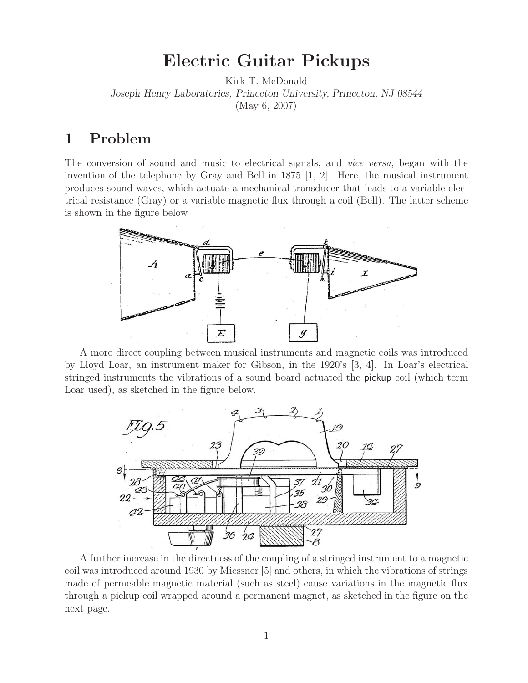## **Electric Guitar Pickups**

Kirk T. McDonald *Joseph Henry Laboratories, Princeton University, Princeton, NJ 08544* (May 6, 2007)

## **1 Problem**

The conversion of sound and music to electrical signals, and *vice versa*, began with the invention of the telephone by Gray and Bell in 1875 [1, 2]. Here, the musical instrument produces sound waves, which actuate a mechanical transducer that leads to a variable electrical resistance (Gray) or a variable magnetic flux through a coil (Bell). The latter scheme is shown in the figure below



A more direct coupling between musical instruments and magnetic coils was introduced by Lloyd Loar, an instrument maker for Gibson, in the 1920's [3, 4]. In Loar's electrical stringed instruments the vibrations of a sound board actuated the pickup coil (which term Loar used), as sketched in the figure below.



A further increase in the directness of the coupling of a stringed instrument to a magnetic coil was introduced around 1930 by Miessner [5] and others, in which the vibrations of strings made of permeable magnetic material (such as steel) cause variations in the magnetic flux through a pickup coil wrapped around a permanent magnet, as sketched in the figure on the next page.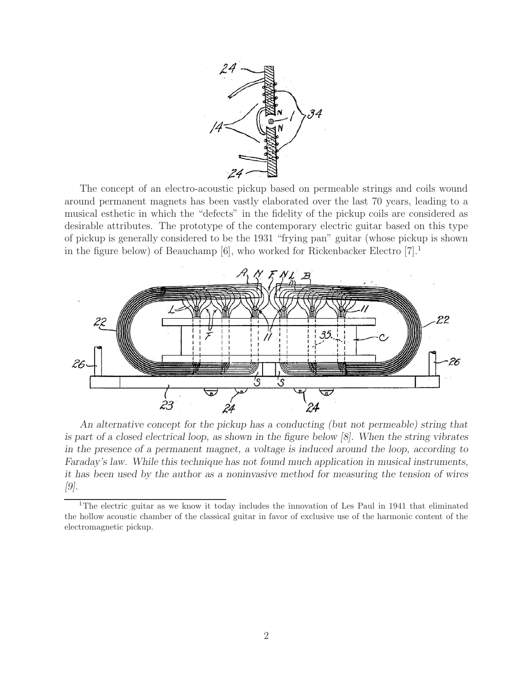

The concept of an electro-acoustic pickup based on permeable strings and coils wound around permanent magnets has been vastly elaborated over the last 70 years, leading to a musical esthetic in which the "defects" in the fidelity of the pickup coils are considered as desirable attributes. The prototype of the contemporary electric guitar based on this type of pickup is generally considered to be the 1931 "frying pan" guitar (whose pickup is shown in the figure below) of Beauchamp  $[6]$ , who worked for Rickenbacker Electro  $[7]$ <sup>1</sup>



*An alternative concept for the pickup has a conducting (but not permeable) string that is part of a closed electrical loop, as shown in the figure below [8]. When the string vibrates in the presence of a permanent magnet, a voltage is induced around the loop, according to Faraday's law. While this technique has not found much application in musical instruments, it has been used by the author as a noninvasive method for measuring the tension of wires [9].*

<sup>&</sup>lt;sup>1</sup>The electric guitar as we know it today includes the innovation of Les Paul in 1941 that eliminated the hollow acoustic chamber of the classical guitar in favor of exclusive use of the harmonic content of the electromagnetic pickup.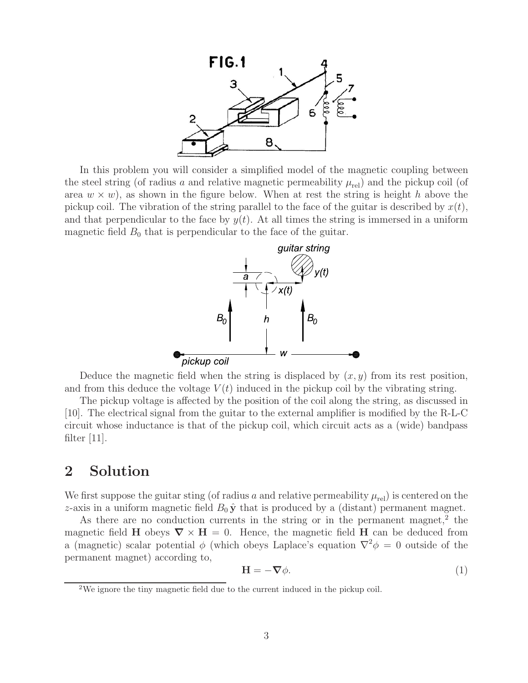

In this problem you will consider a simplified model of the magnetic coupling between the steel string (of radius a and relative magnetic permeability  $\mu_{rel}$ ) and the pickup coil (of area  $w \times w$ , as shown in the figure below. When at rest the string is height h above the pickup coil. The vibration of the string parallel to the face of the guitar is described by  $x(t)$ , and that perpendicular to the face by  $y(t)$ . At all times the string is immersed in a uniform magnetic field  $B_0$  that is perpendicular to the face of the guitar.



Deduce the magnetic field when the string is displaced by  $(x, y)$  from its rest position, and from this deduce the voltage  $V(t)$  induced in the pickup coil by the vibrating string.

The pickup voltage is affected by the position of the coil along the string, as discussed in [10]. The electrical signal from the guitar to the external amplifier is modified by the R-L-C circuit whose inductance is that of the pickup coil, which circuit acts as a (wide) bandpass filter  $|11|$ .

## **2 Solution**

We first suppose the guitar sting (of radius a and relative permeability  $\mu_{rel}$ ) is centered on the z-axis in a uniform magnetic field  $B_0 \hat{\mathbf{y}}$  that is produced by a (distant) permanent magnet.

As there are no conduction currents in the string or in the permanent magnet,<sup>2</sup> the magnetic field **H** obeys  $\nabla \times \mathbf{H} = 0$ . Hence, the magnetic field **H** can be deduced from a (magnetic) scalar potential  $\phi$  (which obeys Laplace's equation  $\nabla^2 \phi = 0$  outside of the permanent magnet) according to,

$$
\mathbf{H} = -\nabla \phi. \tag{1}
$$

<sup>&</sup>lt;sup>2</sup>We ignore the tiny magnetic field due to the current induced in the pickup coil.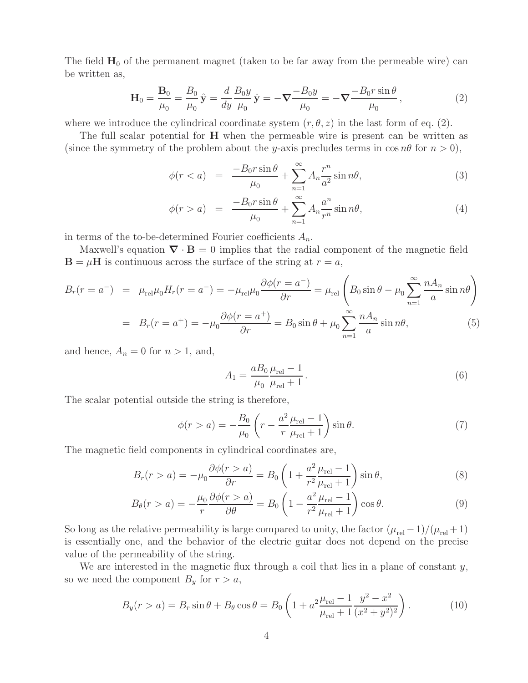The field  $H_0$  of the permanent magnet (taken to be far away from the permeable wire) can be written as,

$$
\mathbf{H}_0 = \frac{\mathbf{B}_0}{\mu_0} = \frac{B_0}{\mu_0} \hat{\mathbf{y}} = \frac{d}{dy} \frac{B_0 y}{\mu_0} \hat{\mathbf{y}} = -\nabla \frac{-B_0 y}{\mu_0} = -\nabla \frac{-B_0 r \sin \theta}{\mu_0},
$$
\n(2)

where we introduce the cylindrical coordinate system  $(r, \theta, z)$  in the last form of eq. (2).

The full scalar potential for **H** when the permeable wire is present can be written as (since the symmetry of the problem about the y-axis precludes terms in  $\cos n\theta$  for  $n > 0$ ),

$$
\phi(r < a) = \frac{-B_0 r \sin \theta}{\mu_0} + \sum_{n=1}^{\infty} A_n \frac{r^n}{a^2} \sin n\theta,\tag{3}
$$

$$
\phi(r > a) = \frac{-B_0 r \sin \theta}{\mu_0} + \sum_{n=1}^{\infty} A_n \frac{a^n}{r^n} \sin n\theta,
$$
\n(4)

in terms of the to-be-determined Fourier coefficients  $A_n$ .

Maxwell's equation  $\nabla \cdot \mathbf{B} = 0$  implies that the radial component of the magnetic field  $\mathbf{B} = \mu \mathbf{H}$  is continuous across the surface of the string at  $r = a$ ,

$$
B_r(r = a^-) = \mu_{rel}\mu_0 H_r(r = a^-) = -\mu_{rel}\mu_0 \frac{\partial \phi(r = a^-)}{\partial r} = \mu_{rel} \left( B_0 \sin \theta - \mu_0 \sum_{n=1}^{\infty} \frac{n A_n}{a} \sin n\theta \right)
$$

$$
= B_r(r = a^+) = -\mu_0 \frac{\partial \phi(r = a^+)}{\partial r} = B_0 \sin \theta + \mu_0 \sum_{n=1}^{\infty} \frac{n A_n}{a} \sin n\theta,
$$
(5)

and hence,  $A_n = 0$  for  $n > 1$ , and,

$$
A_1 = \frac{aB_0}{\mu_0} \frac{\mu_{\text{rel}} - 1}{\mu_{\text{rel}} + 1}.
$$
 (6)

The scalar potential outside the string is therefore,

$$
\phi(r > a) = -\frac{B_0}{\mu_0} \left( r - \frac{a^2}{r} \frac{\mu_{\text{rel}} - 1}{\mu_{\text{rel}} + 1} \right) \sin \theta. \tag{7}
$$

The magnetic field components in cylindrical coordinates are,

$$
B_r(r > a) = -\mu_0 \frac{\partial \phi(r > a)}{\partial r} = B_0 \left( 1 + \frac{a^2}{r^2} \frac{\mu_{\text{rel}} - 1}{\mu_{\text{rel}} + 1} \right) \sin \theta, \tag{8}
$$

$$
B_{\theta}(r > a) = -\frac{\mu_0}{r} \frac{\partial \phi(r > a)}{\partial \theta} = B_0 \left( 1 - \frac{a^2}{r^2} \frac{\mu_{\text{rel}} - 1}{\mu_{\text{rel}} + 1} \right) \cos \theta. \tag{9}
$$

So long as the relative permeability is large compared to unity, the factor  $(\mu_{rel} - 1)/(\mu_{rel} + 1)$ is essentially one, and the behavior of the electric guitar does not depend on the precise value of the permeability of the string.

We are interested in the magnetic flux through a coil that lies in a plane of constant  $y$ , so we need the component  $B_y$  for  $r>a$ ,

$$
B_y(r > a) = B_r \sin \theta + B_\theta \cos \theta = B_0 \left( 1 + a^2 \frac{\mu_{\text{rel}} - 1}{\mu_{\text{rel}} + 1} \frac{y^2 - x^2}{(x^2 + y^2)^2} \right). \tag{10}
$$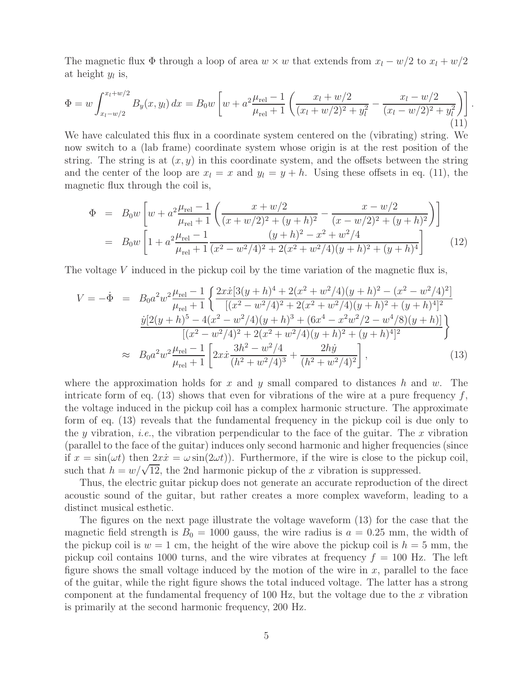The magnetic flux  $\Phi$  through a loop of area  $w \times w$  that extends from  $x_l - w/2$  to  $x_l + w/2$ at height  $y_l$  is,

$$
\Phi = w \int_{x_l - w/2}^{x_l + w/2} B_y(x, y_l) dx = B_0 w \left[ w + a^2 \frac{\mu_{\text{rel}} - 1}{\mu_{\text{rel}} + 1} \left( \frac{x_l + w/2}{(x_l + w/2)^2 + y_l^2} - \frac{x_l - w/2}{(x_l - w/2)^2 + y_l^2} \right) \right].
$$
\n(11)

We have calculated this flux in a coordinate system centered on the (vibrating) string. We now switch to a (lab frame) coordinate system whose origin is at the rest position of the string. The string is at  $(x, y)$  in this coordinate system, and the offsets between the string and the center of the loop are  $x_l = x$  and  $y_l = y + h$ . Using these offsets in eq. (11), the magnetic flux through the coil is,

$$
\Phi = B_0 w \left[ w + a^2 \frac{\mu_{\text{rel}} - 1}{\mu_{\text{rel}} + 1} \left( \frac{x + w/2}{(x + w/2)^2 + (y + h)^2} - \frac{x - w/2}{(x - w/2)^2 + (y + h)^2} \right) \right]
$$
  
\n
$$
= B_0 w \left[ 1 + a^2 \frac{\mu_{\text{rel}} - 1}{\mu_{\text{rel}} + 1} \frac{(y + h)^2 - x^2 + w^2/4}{(x^2 - w^2/4)^2 + 2(x^2 + w^2/4)(y + h)^2 + (y + h)^4} \right] (12)
$$

The voltage V induced in the pickup coil by the time variation of the magnetic flux is,

$$
V = -\dot{\Phi} = B_0 a^2 w^2 \frac{\mu_{\text{rel}} - 1}{\mu_{\text{rel}} + 1} \left\{ \frac{2x \dot{x} [3(y+h)^4 + 2(x^2 + w^2/4)(y+h)^2 - (x^2 - w^2/4)^2]}{[(x^2 - w^2/4)^2 + 2(x^2 + w^2/4)(y+h)^2 + (y+h)^4]^2} \frac{\dot{y} [2(y+h)^5 - 4(x^2 - w^2/4)(y+h)^3 + (6x^4 - x^2w^2/2 - w^4/8)(y+h)]}{[(x^2 - w^2/4)^2 + 2(x^2 + w^2/4)(y+h)^2 + (y+h)^4]^2} \right\}
$$
  
 
$$
\approx B_0 a^2 w^2 \frac{\mu_{\text{rel}} - 1}{\mu_{\text{rel}} + 1} \left[ 2x \dot{x} \frac{3h^2 - w^2/4}{(h^2 + w^2/4)^3} + \frac{2hy}{(h^2 + w^2/4)^2} \right],
$$
 (13)

where the approximation holds for x and y small compared to distances h and w. The intricate form of eq. (13) shows that even for vibrations of the wire at a pure frequency  $f$ , the voltage induced in the pickup coil has a complex harmonic structure. The approximate form of eq. (13) reveals that the fundamental frequency in the pickup coil is due only to the y vibration, *i.e.*, the vibration perpendicular to the face of the guitar. The x vibration (parallel to the face of the guitar) induces only second harmonic and higher frequencies (since if  $x = sin(\omega t)$  then  $2x\dot{x} = \omega sin(2\omega t)$ . Furthermore, if the wire is close to the pickup coil, such that  $h = w/\sqrt{12}$ , the 2nd harmonic pickup of the x vibration is suppressed.

Thus, the electric guitar pickup does not generate an accurate reproduction of the direct acoustic sound of the guitar, but rather creates a more complex waveform, leading to a distinct musical esthetic.

The figures on the next page illustrate the voltage waveform (13) for the case that the magnetic field strength is  $B_0 = 1000$  gauss, the wire radius is  $a = 0.25$  mm, the width of the pickup coil is  $w = 1$  cm, the height of the wire above the pickup coil is  $h = 5$  mm, the pickup coil contains 1000 turns, and the wire vibrates at frequency  $f = 100$  Hz. The left figure shows the small voltage induced by the motion of the wire in  $x$ , parallel to the face of the guitar, while the right figure shows the total induced voltage. The latter has a strong component at the fundamental frequency of  $100 \text{ Hz}$ , but the voltage due to the x vibration is primarily at the second harmonic frequency, 200 Hz.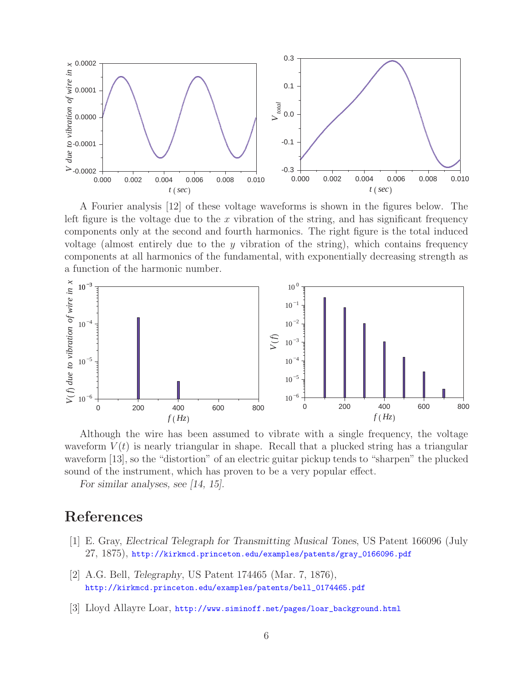

A Fourier analysis [12] of these voltage waveforms is shown in the figures below. The left figure is the voltage due to the x vibration of the string, and has significant frequency components only at the second and fourth harmonics. The right figure is the total induced voltage (almost entirely due to the  $y$  vibration of the string), which contains frequency components at all harmonics of the fundamental, with exponentially decreasing strength as a function of the harmonic number.



Although the wire has been assumed to vibrate with a single frequency, the voltage waveform  $V(t)$  is nearly triangular in shape. Recall that a plucked string has a triangular waveform [13], so the "distortion" of an electric guitar pickup tends to "sharpen" the plucked sound of the instrument, which has proven to be a very popular effect.

*For similar analyses, see [14, 15].*

## **References**

- [1] E. Gray, *Electrical Telegraph for Transmitting Musical Tones*, US Patent 166096 (July 27, 1875), http://kirkmcd.princeton.edu/examples/patents/gray\_0166096.pdf
- [2] A.G. Bell, *Telegraphy*, US Patent 174465 (Mar. 7, 1876), http://kirkmcd.princeton.edu/examples/patents/bell\_0174465.pdf
- [3] Lloyd Allayre Loar, http://www.siminoff.net/pages/loar\_background.html